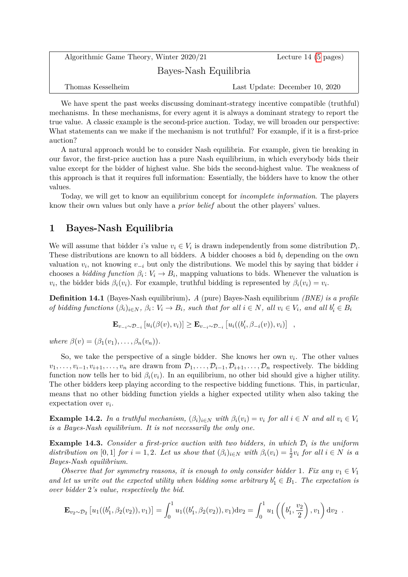| Algorithmic Game Theory, Winter 2020/21 | Lecture 14 $(5 \text{ pages})$ |
|-----------------------------------------|--------------------------------|
| Bayes-Nash Equilibria                   |                                |
| Thomas Kesselheim                       | Last Update: December 10, 2020 |

We have spent the past weeks discussing dominant-strategy incentive compatible (truthful) mechanisms. In these mechanisms, for every agent it is always a dominant strategy to report the true value. A classic example is the second-price auction. Today, we will broaden our perspective: What statements can we make if the mechanism is not truthful? For example, if it is a first-price auction?

A natural approach would be to consider Nash equilibria. For example, given tie breaking in our favor, the first-price auction has a pure Nash equilibrium, in which everybody bids their value except for the bidder of highest value. She bids the second-highest value. The weakness of this approach is that it requires full information: Essentially, the bidders have to know the other values.

Today, we will get to know an equilibrium concept for *incomplete information*. The players know their own values but only have a *prior belief* about the other players' values.

## **1 Bayes-Nash Equilibria**

We will assume that bidder *i*'s value  $v_i \in V_i$  is drawn independently from some distribution  $\mathcal{D}_i$ . These distributions are known to all bidders. A bidder chooses a bid *b<sup>i</sup>* depending on the own valuation *v<sup>i</sup>* , not knowing *v*−*<sup>i</sup>* but only the distributions. We model this by saying that bidder *i* chooses a *bidding function*  $\beta_i: V_i \to B_i$ , mapping valuations to bids. Whenever the valuation is  $v_i$ , the bidder bids  $\beta_i(v_i)$ . For example, truthful bidding is represented by  $\beta_i(v_i) = v_i$ .

**Definition 14.1** (Bayes-Nash equilibrium)**.** *A* (pure) Bayes-Nash equilibrium *(BNE) is a profile* of bidding functions  $(\beta_i)_{i \in N}$ ,  $\beta_i: V_i \to B_i$ , such that for all  $i \in N$ , all  $v_i \in V_i$ , and all  $b'_i \in B_i$ 

$$
\mathbf{E}_{v_{-i} \sim \mathcal{D}_{-i}} \left[ u_i(\beta(v), v_i) \right] \geq \mathbf{E}_{v_{-i} \sim \mathcal{D}_{-i}} \left[ u_i((b'_i, \beta_{-i}(v)), v_i) \right] ,
$$

 $where \ \beta(v) = (\beta_1(v_1), \ldots, \beta_n(v_n)).$ 

So, we take the perspective of a single bidder. She knows her own  $v_i$ . The other values  $v_1, \ldots, v_{i-1}, v_{i+1}, \ldots, v_n$  are drawn from  $\mathcal{D}_1, \ldots, \mathcal{D}_{i-1}, \mathcal{D}_{i+1}, \ldots, \mathcal{D}_n$  respectively. The bidding function now tells her to bid  $\beta_i(v_i)$ . In an equilibrium, no other bid should give a higher utility. The other bidders keep playing according to the respective bidding functions. This, in particular, means that no other bidding function yields a higher expected utility when also taking the expectation over *v<sup>i</sup>* .

**Example 14.2.** In a truthful mechanism,  $(\beta_i)_{i \in N}$  with  $\beta_i(v_i) = v_i$  for all  $i \in N$  and all  $v_i \in V_i$ *is a Bayes-Nash equilibrium. It is not necessarily the only one.*

<span id="page-0-0"></span>**Example 14.3.** *Consider a first-price auction with two bidders, in which* D*<sup>i</sup> is the uniform* distribution on [0, 1] for  $i = 1, 2$ . Let us show that  $(\beta_i)_{i \in N}$  with  $\beta_i(v_i) = \frac{1}{2}v_i$  for all  $i \in N$  is a *Bayes-Nash equilibrium.*

*Observe that for symmetry reasons, it is enough to only consider bidder* 1*. Fix any*  $v_1 \in V_1$ and let us write out the expected utility when bidding some arbitrary  $b'_1 \in B_1$ . The expectation is *over bidder* 2*'s value, respectively the bid.*

$$
\mathbf{E}_{v_2 \sim \mathcal{D}_2} \left[ u_1((b'_1, \beta_2(v_2)), v_1) \right] = \int_0^1 u_1((b'_1, \beta_2(v_2)), v_1) \mathrm{d}v_2 = \int_0^1 u_1\left( \left( b'_1, \frac{v_2}{2} \right), v_1 \right) \mathrm{d}v_2.
$$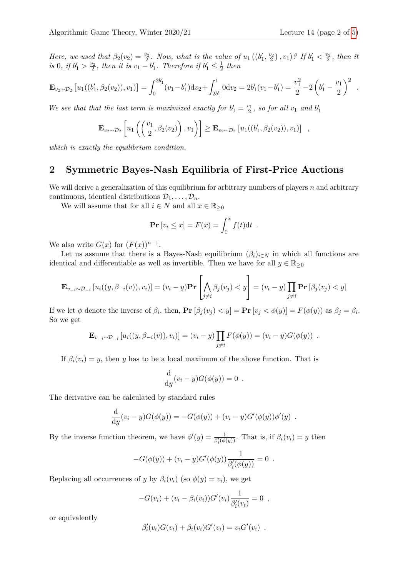*Here, we used that*  $\beta_2(v_2) = \frac{v_2}{2}$ . *Now, what is the value of*  $u_1((b'_1, \frac{v_2}{2}), v_1)$ ? If  $b'_1 < \frac{v_2}{2}$ , then it *is* 0, *if*  $b'_1 > \frac{v_2}{2}$ , *then it is*  $v_1 - b'_1$ *. Therefore if*  $b'_1 \le \frac{1}{2}$  $rac{1}{2}$  then

$$
\mathbf{E}_{v_2 \sim \mathcal{D}_2} \left[ u_1((b'_1, \beta_2(v_2)), v_1) \right] = \int_0^{2b'_1} (v_1 - b'_1) \mathrm{d}v_2 + \int_{2b'_1}^1 0 \mathrm{d}v_2 = 2b'_1(v_1 - b'_1) = \frac{v_1^2}{2} - 2\left(b'_1 - \frac{v_1}{2}\right)^2.
$$

We see that that the last term is maximized exactly for  $b'_1 = \frac{v_1}{2}$ , so for all  $v_1$  and  $b'_1$ 

$$
\mathbf{E}_{v_2 \sim \mathcal{D}_2} \left[ u_1\left( \left( \frac{v_1}{2}, \beta_2(v_2) \right), v_1 \right) \right] \geq \mathbf{E}_{v_2 \sim \mathcal{D}_2} \left[ u_1((b'_1, \beta_2(v_2)), v_1) \right],
$$

*which is exactly the equilibrium condition.*

### **2 Symmetric Bayes-Nash Equilibria of First-Price Auctions**

We will derive a generalization of this equilibrium for arbitrary numbers of players *n* and arbitrary continuous, identical distributions  $\mathcal{D}_1, \ldots, \mathcal{D}_n$ .

We will assume that for all  $i \in N$  and all  $x \in \mathbb{R}_{\geq 0}$ 

$$
\Pr[v_i \le x] = F(x) = \int_0^x f(t) dt .
$$

We also write  $G(x)$  for  $(F(x))^{n-1}$ .

Let us assume that there is a Bayes-Nash equilibrium  $(\beta_i)_{i \in N}$  in which all functions are identical and differentiable as well as invertible. Then we have for all  $y \in \mathbb{R}_{\geq 0}$ 

$$
\mathbf{E}_{v_{-i}\sim\mathcal{D}_{-i}}\left[u_i((y,\beta_{-i}(v)),v_i)\right]=(v_i-y)\mathbf{Pr}\left[\bigwedge_{j\neq i}\beta_j(v_j)
$$

If we let  $\phi$  denote the inverse of  $\beta_i$ , then,  $\Pr[\beta_j(v_j) < y] = \Pr[v_j < \phi(y)] = F(\phi(y))$  as  $\beta_j = \beta_i$ . So we get

$$
\mathbf{E}_{v_{-i}\sim\mathcal{D}_{-i}}\left[u_i((y,\beta_{-i}(v)),v_i)\right]=(v_i-y)\prod_{j\neq i}F(\phi(y))=(v_i-y)G(\phi(y)) .
$$

If  $\beta_i(v_i) = y$ , then *y* has to be a local maximum of the above function. That is

$$
\frac{\mathrm{d}}{\mathrm{d}y}(v_i - y)G(\phi(y)) = 0.
$$

The derivative can be calculated by standard rules

$$
\frac{d}{dy}(v_i - y)G(\phi(y)) = -G(\phi(y)) + (v_i - y)G'(\phi(y))\phi'(y) .
$$

By the inverse function theorem, we have  $\phi'(y) = \frac{1}{\beta_i'(\phi(y))}$ . That is, if  $\beta_i(v_i) = y$  then

$$
-G(\phi(y)) + (v_i - y)G'(\phi(y))\frac{1}{\beta_i'(\phi(y))} = 0.
$$

Replacing all occurrences of *y* by  $\beta_i(v_i)$  (so  $\phi(y) = v_i$ ), we get

$$
-G(v_i) + (v_i - \beta_i(v_i))G'(v_i)\frac{1}{\beta'_i(v_i)} = 0,
$$

or equivalently

$$
\beta_i'(v_i)G(v_i) + \beta_i(v_i)G'(v_i) = v_iG'(v_i) .
$$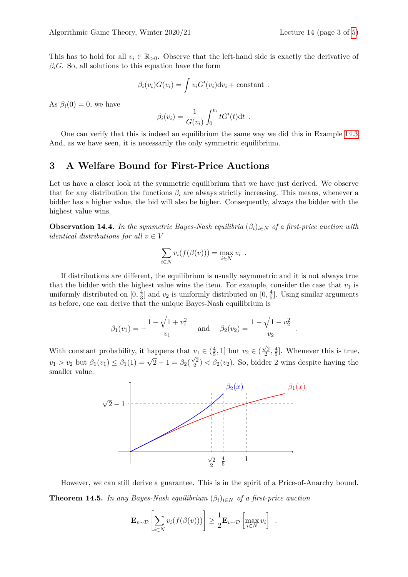This has to hold for all  $v_i \in \mathbb{R}_{>0}$ . Observe that the left-hand side is exactly the derivative of  $\beta_i$ *G*. So, all solutions to this equation have the form

$$
\beta_i(v_i)G(v_i) = \int v_i G'(v_i) \mathrm{d}v_i + \text{constant}.
$$

As  $\beta_i(0) = 0$ , we have

$$
\beta_i(v_i) = \frac{1}{G(v_i)} \int_0^{v_i} tG'(t)dt .
$$

One can verify that this is indeed an equilibrium the same way we did this in Example [14.3.](#page-0-0) And, as we have seen, it is necessarily the only symmetric equilibrium.

#### **3 A Welfare Bound for First-Price Auctions**

Let us have a closer look at the symmetric equilibrium that we have just derived. We observe that for any distribution the functions  $\beta_i$  are always strictly increasing. This means, whenever a bidder has a higher value, the bid will also be higher. Consequently, always the bidder with the highest value wins.

**Observation 14.4.** In the symmetric Bayes-Nash equilibria  $(\beta_i)_{i \in N}$  of a first-price auction with *identical distributions for all*  $v \in V$ 

$$
\sum_{i \in N} v_i(f(\beta(v))) = \max_{i \in N} v_i .
$$

If distributions are different, the equilibrium is usually asymmetric and it is not always true that the bidder with the highest value wins the item. For example, consider the case that  $v_1$  is uniformly distributed on  $[0, \frac{4}{3}]$  $\frac{4}{3}$ ] and  $v_2$  is uniformly distributed on  $[0, \frac{4}{5}]$  $\frac{4}{5}$ . Using similar arguments as before, one can derive that the unique Bayes-Nash equilibrium is

$$
\beta_1(v_1) = -\frac{1 - \sqrt{1 + v_1^2}}{v_1}
$$
 and  $\beta_2(v_2) = \frac{1 - \sqrt{1 - v_2^2}}{v_2}$ .

With constant probability, it happens that  $v_1 \in (\frac{4}{5})$  $\frac{4}{5}$ , 1] but  $v_2 \in ($  $\sqrt{2}$  $\frac{\sqrt{2}}{2}, \frac{4}{5}$  $\frac{4}{5}$ . Whenever this is true, *v*<sub>1</sub> > *v*<sub>2</sub> but  $\beta_1(v_1) \leq \beta_1(1) = \sqrt{2} - 1 = \beta_2($  $\sqrt{2}$  $\frac{\sqrt{2}}{2}$   $\lt$   $\beta_2(v_2)$ . So, bidder 2 wins despite having the smaller value.



<span id="page-2-0"></span>However, we can still derive a guarantee. This is in the spirit of a Price-of-Anarchy bound. **Theorem 14.5.** *In any Bayes-Nash equilibrium*  $(\beta_i)_{i \in N}$  *of a first-price auction* 

$$
\mathbf{E}_{v \sim \mathcal{D}} \left[ \sum_{i \in N} v_i(f(\beta(v))) \right] \geq \frac{1}{2} \mathbf{E}_{v \sim \mathcal{D}} \left[ \max_{i \in N} v_i \right] .
$$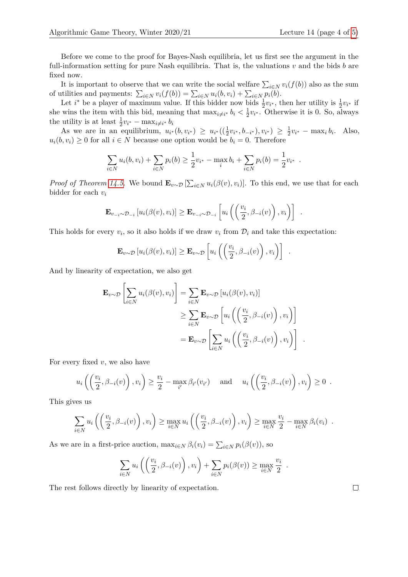Before we come to the proof for Bayes-Nash equilibria, let us first see the argument in the full-information setting for pure Nash equilibria. That is, the valuations *v* and the bids *b* are fixed now.

It is important to observe that we can write the social welfare  $\sum_{i \in N} v_i(f(b))$  also as the sum of utilities and payments:  $\sum_{i \in N} v_i(f(b)) = \sum_{i \in N} u_i(b, v_i) + \sum_{i \in N} p_i(b)$ .

Let *i*<sup>\*</sup> be a player of maximum value. If this bidder now bids  $\frac{1}{2}v_i$ , then her utility is  $\frac{1}{2}v_i$  if she wins the item with this bid, meaning that  $\max_{i \neq i^*} b_i < \frac{1}{2}$  $\frac{1}{2}v_i^*$ . Otherwise it is 0. So, always the utility is at least  $\frac{1}{2}v_{i^*} - \max_{i \neq i^*} b_i$ 

As we are in an equilibrium,  $u_{i^*}(b, v_{i^*}) \geq u_{i^*}((\frac{1}{2}v_{i^*}, b_{-i^*}), v_{i^*}) \geq \frac{1}{2}$  $\frac{1}{2}v_{i^*} - \max_i b_i$ . Also,  $u_i(b, v_i) \geq 0$  for all  $i \in N$  because one option would be  $b_i = 0$ . Therefore

$$
\sum_{i \in N} u_i(b, v_i) + \sum_{i \in N} p_i(b) \ge \frac{1}{2} v_{i^*} - \max_i b_i + \sum_{i \in N} p_i(b) = \frac{1}{2} v_{i^*}.
$$

*Proof of Theorem [14.5.](#page-2-0)* We bound  $\mathbf{E}_{v \sim \mathcal{D}}[\sum_{i \in N} u_i(\beta(v), v_i)]$ . To this end, we use that for each bidder for each *v<sup>i</sup>*

$$
\mathbf{E}_{v_{-i}\sim\mathcal{D}_{-i}}\left[u_i(\beta(v),v_i)\right] \geq \mathbf{E}_{v_{-i}\sim\mathcal{D}_{-i}}\left[u_i\left(\left(\frac{v_i}{2},\beta_{-i}(v)\right),v_i\right)\right].
$$

This holds for every  $v_i$ , so it also holds if we draw  $v_i$  from  $\mathcal{D}_i$  and take this expectation:

$$
\mathbf{E}_{v \sim \mathcal{D}} \left[ u_i(\beta(v), v_i) \right] \geq \mathbf{E}_{v \sim \mathcal{D}} \left[ u_i\left( \left( \frac{v_i}{2}, \beta_{-i}(v) \right), v_i \right) \right] .
$$

And by linearity of expectation, we also get

$$
\mathbf{E}_{v \sim \mathcal{D}} \left[ \sum_{i \in N} u_i(\beta(v), v_i) \right] = \sum_{i \in N} \mathbf{E}_{v \sim \mathcal{D}} \left[ u_i(\beta(v), v_i) \right]
$$
  
\n
$$
\geq \sum_{i \in N} \mathbf{E}_{v \sim \mathcal{D}} \left[ u_i \left( \left( \frac{v_i}{2}, \beta_{-i}(v) \right), v_i \right) \right]
$$
  
\n
$$
= \mathbf{E}_{v \sim \mathcal{D}} \left[ \sum_{i \in N} u_i \left( \left( \frac{v_i}{2}, \beta_{-i}(v) \right), v_i \right) \right] .
$$

For every fixed *v*, we also have

$$
u_i\left(\left(\frac{v_i}{2},\beta_{-i}(v)\right),v_i\right) \ge \frac{v_i}{2} - \max_{i'}\beta_{i'}(v_{i'}) \quad \text{and} \quad u_i\left(\left(\frac{v_i}{2},\beta_{-i}(v)\right),v_i\right) \ge 0.
$$

This gives us

$$
\sum_{i\in N} u_i\left(\left(\frac{v_i}{2}, \beta_{-i}(v)\right), v_i\right) \ge \max_{i\in N} u_i\left(\left(\frac{v_i}{2}, \beta_{-i}(v)\right), v_i\right) \ge \max_{i\in N} \frac{v_i}{2} - \max_{i\in N} \beta_i(v_i) .
$$

As we are in a first-price auction,  $\max_{i \in N} \beta_i(v_i) = \sum_{i \in N} p_i(\beta(v))$ , so

$$
\sum_{i \in N} u_i \left( \left( \frac{v_i}{2}, \beta_{-i}(v) \right), v_i \right) + \sum_{i \in N} p_i(\beta(v)) \ge \max_{i \in N} \frac{v_i}{2} .
$$

The rest follows directly by linearity of expectation.

 $\Box$